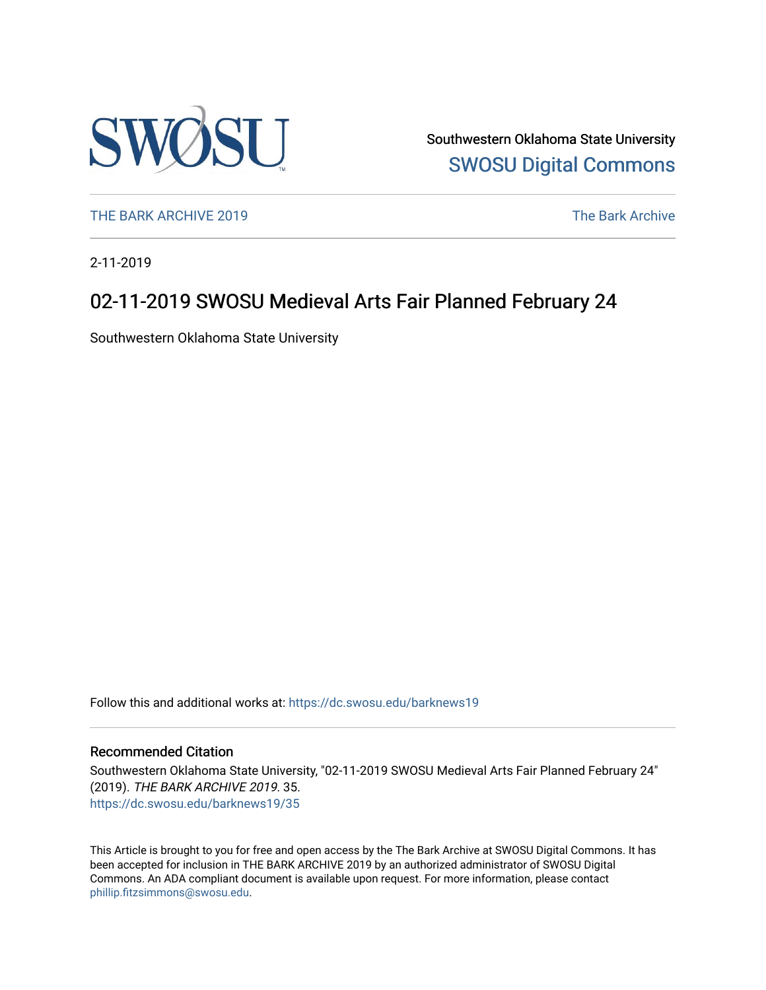

Southwestern Oklahoma State University [SWOSU Digital Commons](https://dc.swosu.edu/) 

[THE BARK ARCHIVE 2019](https://dc.swosu.edu/barknews19) The Bark Archive

2-11-2019

### 02-11-2019 SWOSU Medieval Arts Fair Planned February 24

Southwestern Oklahoma State University

Follow this and additional works at: [https://dc.swosu.edu/barknews19](https://dc.swosu.edu/barknews19?utm_source=dc.swosu.edu%2Fbarknews19%2F35&utm_medium=PDF&utm_campaign=PDFCoverPages)

#### Recommended Citation

Southwestern Oklahoma State University, "02-11-2019 SWOSU Medieval Arts Fair Planned February 24" (2019). THE BARK ARCHIVE 2019. 35. [https://dc.swosu.edu/barknews19/35](https://dc.swosu.edu/barknews19/35?utm_source=dc.swosu.edu%2Fbarknews19%2F35&utm_medium=PDF&utm_campaign=PDFCoverPages) 

This Article is brought to you for free and open access by the The Bark Archive at SWOSU Digital Commons. It has been accepted for inclusion in THE BARK ARCHIVE 2019 by an authorized administrator of SWOSU Digital Commons. An ADA compliant document is available upon request. For more information, please contact [phillip.fitzsimmons@swosu.edu](mailto:phillip.fitzsimmons@swosu.edu).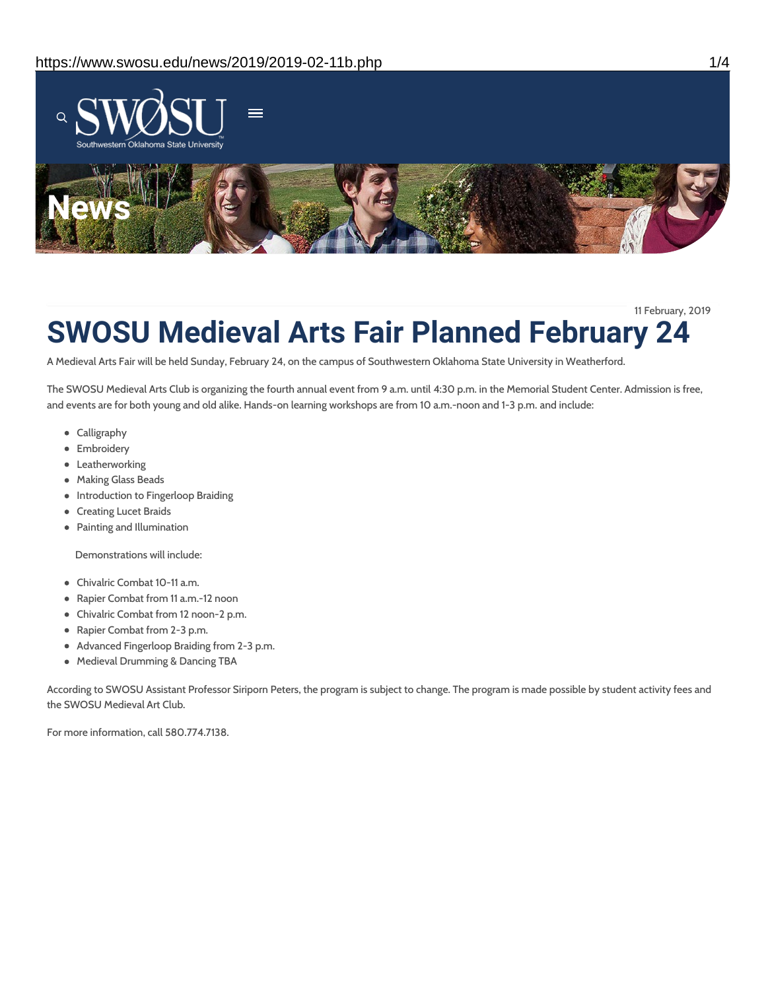

11 February, 2019

# **SWOSU Medieval Arts Fair Planned February 24**

A Medieval Arts Fair will be held Sunday, February 24, on the campus of Southwestern Oklahoma State University in Weatherford.

The SWOSU Medieval Arts Club is organizing the fourth annual event from 9 a.m. until 4:30 p.m. in the Memorial Student Center. Admission is free, and events are for both young and old alike. Hands-on learning workshops are from 10 a.m.-noon and 1-3 p.m. and include:

- Calligraphy
- **•** Embroidery
- **•** Leatherworking
- Making Glass Beads
- Introduction to Fingerloop Braiding
- Creating Lucet Braids
- Painting and Illumination

Demonstrations will include:

- Chivalric Combat 10-11 a.m.
- Rapier Combat from 11 a.m.-12 noon
- Chivalric Combat from 12 noon-2 p.m.
- Rapier Combat from 2-3 p.m.
- Advanced Fingerloop Braiding from 2-3 p.m.
- Medieval Drumming & Dancing TBA

According to SWOSU Assistant Professor Siriporn Peters, the program is subject to change. The program is made possible by student activity fees and the SWOSU Medieval Art Club.

For more information, call 580.774.7138.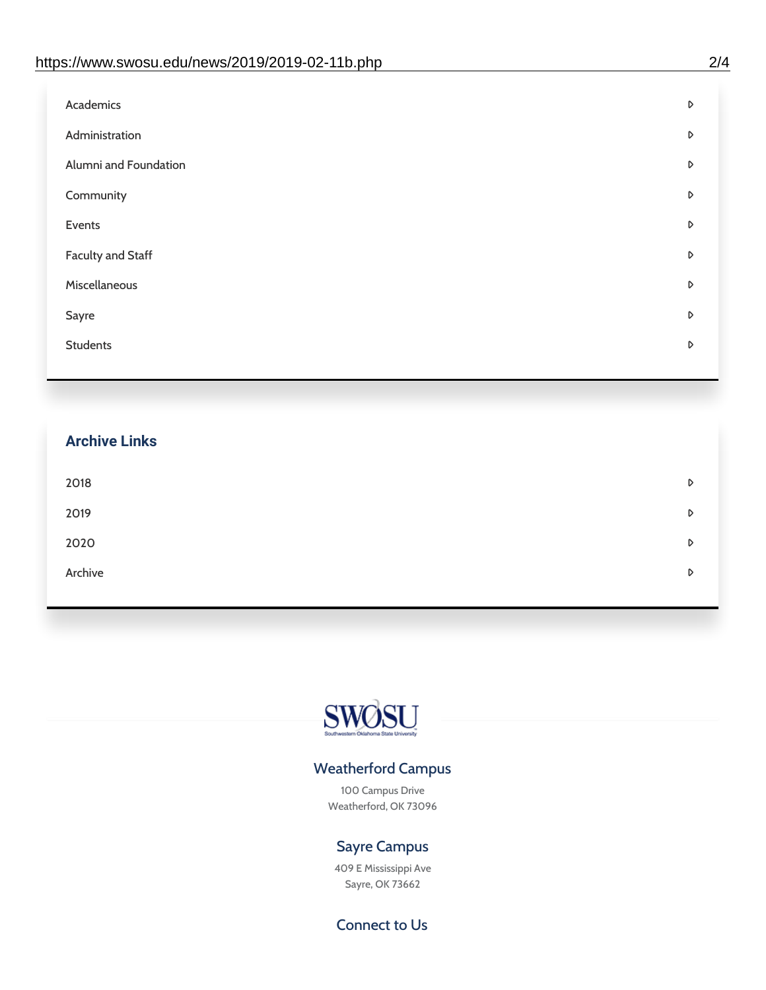| D |
|---|
| D |
| D |
| D |
| D |
| D |
| D |
| D |
| D |
|   |

## **Archive Links**  $2018$  $2019$ [2020](https://www.swosu.edu/news/2020/index.php)  $\bullet$ [Archive](https://dc.swosu.edu/bark/) **Archive Archive Archive Archive Archive** Archive Archive Archive Archive Archive Archive Archive Archive



### Weatherford Campus

100 Campus Drive Weatherford, OK 73096

### Sayre Campus

409 E Mississippi Ave Sayre, OK 73662

Connect to Us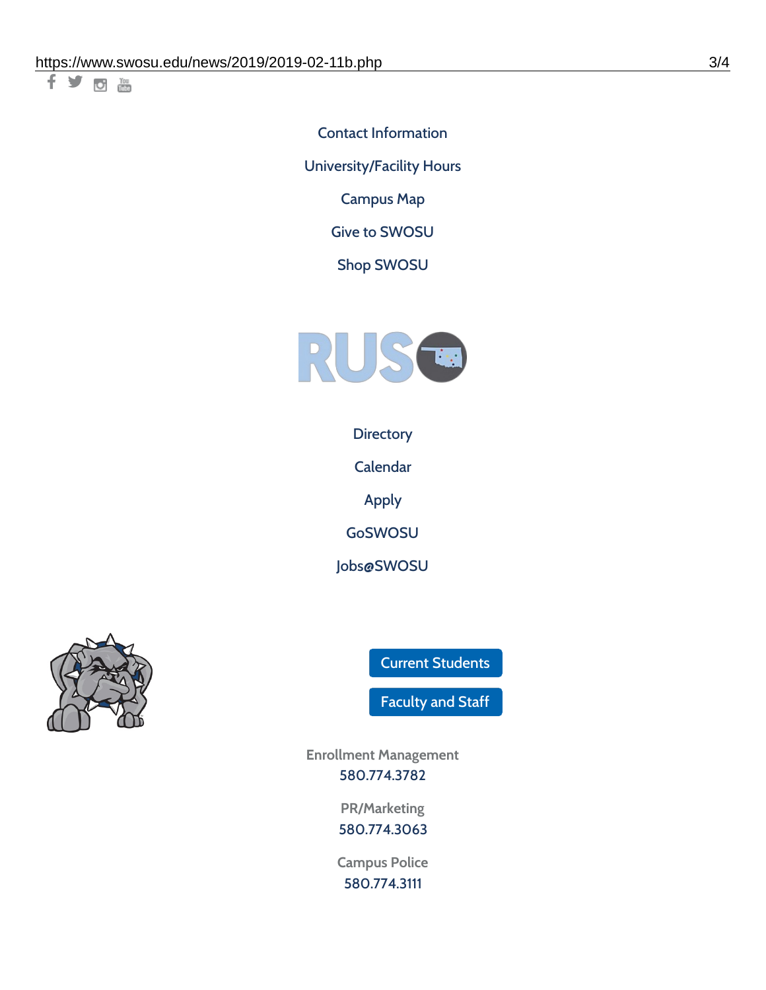千岁回调

Contact [Information](https://www.swosu.edu/about/contact.php) [University/Facility](https://www.swosu.edu/about/operating-hours.php) Hours [Campus](https://map.concept3d.com/?id=768#!ct/10964,10214,10213,10212,10205,10204,10203,10202,10136,10129,10128,0,31226,10130,10201,10641,0) Map

Give to [SWOSU](https://standingfirmly.com/donate)

Shop [SWOSU](https://shopswosu.merchorders.com/)



**[Directory](https://www.swosu.edu/directory/index.php)** 

[Calendar](https://eventpublisher.dudesolutions.com/swosu/)

[Apply](https://www.swosu.edu/admissions/apply-to-swosu.php)

[GoSWOSU](https://qlsso.quicklaunchsso.com/home/1267)

[Jobs@SWOSU](https://swosu.csod.com/ux/ats/careersite/1/home?c=swosu)



Current [Students](https://bulldog.swosu.edu/index.php)

[Faculty](https://bulldog.swosu.edu/faculty-staff/index.php) and Staff

**Enrollment Management** [580.774.3782](tel:5807743782)

> **PR/Marketing** [580.774.3063](tel:5807743063)

**Campus Police** [580.774.3111](tel:5807743111)